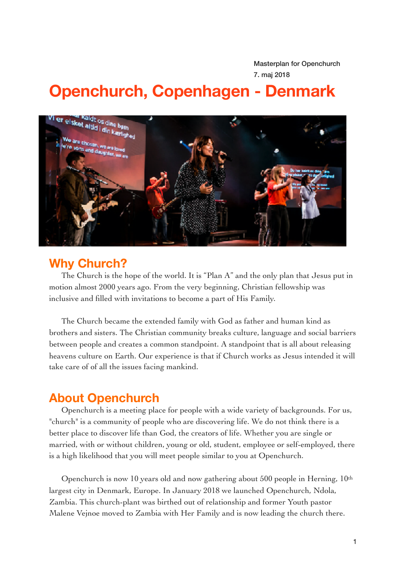Masterplan for Openchurch 7. maj 2018

# **Openchurch, Copenhagen - Denmark**



# **Why Church?**

The Church is the hope of the world. It is "Plan A" and the only plan that Jesus put in motion almost 2000 years ago. From the very beginning, Christian fellowship was inclusive and filled with invitations to become a part of His Family.

The Church became the extended family with God as father and human kind as brothers and sisters. The Christian community breaks culture, language and social barriers between people and creates a common standpoint. A standpoint that is all about releasing heavens culture on Earth. Our experience is that if Church works as Jesus intended it will take care of of all the issues facing mankind.

# **About Openchurch**

Openchurch is a meeting place for people with a wide variety of backgrounds. For us, "church" is a community of people who are discovering life. We do not think there is a better place to discover life than God, the creators of life. Whether you are single or married, with or without children, young or old, student, employee or self-employed, there is a high likelihood that you will meet people similar to you at Openchurch.

Openchurch is now 10 years old and now gathering about 500 people in Herning,  $10<sup>th</sup>$ largest city in Denmark, Europe. In January 2018 we launched Openchurch, Ndola, Zambia. This church-plant was birthed out of relationship and former Youth pastor Malene Vejnoe moved to Zambia with Her Family and is now leading the church there.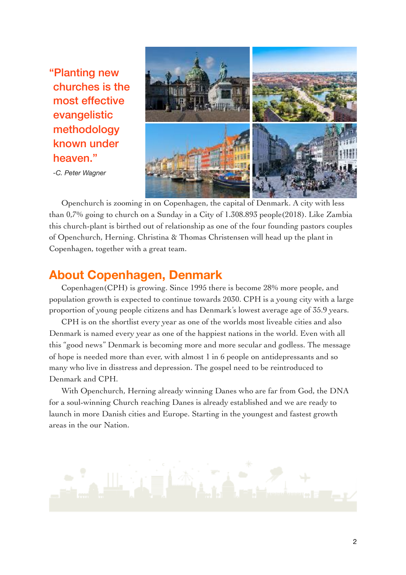"Planting new churches is the most effective evangelistic methodology known under heaven."

*-C. Peter Wagner* 



Openchurch is zooming in on Copenhagen, the capital of Denmark. A city with less than 0,7% going to church on a Sunday in a City of 1.308.893 people(2018). Like Zambia this church-plant is birthed out of relationship as one of the four founding pastors couples of Openchurch, Herning. Christina & Thomas Christensen will head up the plant in Copenhagen, together with a great team.

# **About Copenhagen, Denmark**

Copenhagen(CPH) is growing. Since 1995 there is become 28% more people, and population growth is expected to continue towards 2030. CPH is a young city with a large proportion of young people citizens and has Denmark's lowest average age of 35.9 years.

CPH is on the shortlist every year as one of the worlds most liveable cities and also Denmark is named every year as one of the happiest nations in the world. Even with all this "good news" Denmark is becoming more and more secular and godless. The message of hope is needed more than ever, with almost 1 in 6 people on antidepressants and so many who live in disstress and depression. The gospel need to be reintroduced to Denmark and CPH.

With Openchurch, Herning already winning Danes who are far from God, the DNA for a soul-winning Church reaching Danes is already established and we are ready to launch in more Danish cities and Europe. Starting in the youngest and fastest growth areas in the our Nation.

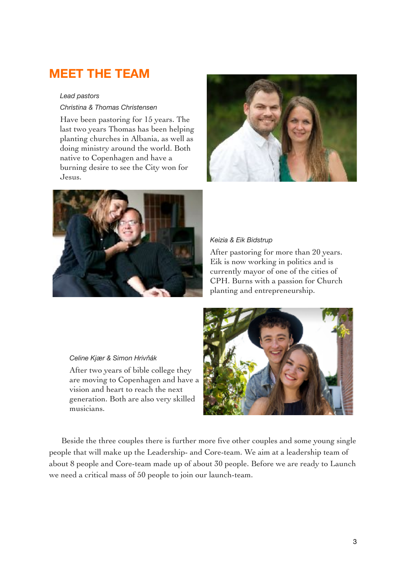# **MEET THE TEAM**

#### *Lead pastors*

*Christina & Thomas Christensen* 

Have been pastoring for 15 years. The last two years Thomas has been helping planting churches in Albania, as well as doing ministry around the world. Both native to Copenhagen and have a burning desire to see the City won for Jesus.





#### *Keizia & Eik Bidstrup*

After pastoring for more than 20 years. Eik is now working in politics and is currently mayor of one of the cities of CPH. Burns with a passion for Church planting and entrepreneurship.

#### *Celine Kjær & Simon Hrivňák*

After two years of bible college they are moving to Copenhagen and have a vision and heart to reach the next generation. Both are also very skilled musicians.



Beside the three couples there is further more five other couples and some young single people that will make up the Leadership- and Core-team. We aim at a leadership team of about 8 people and Core-team made up of about 30 people. Before we are ready to Launch we need a critical mass of 50 people to join our launch-team.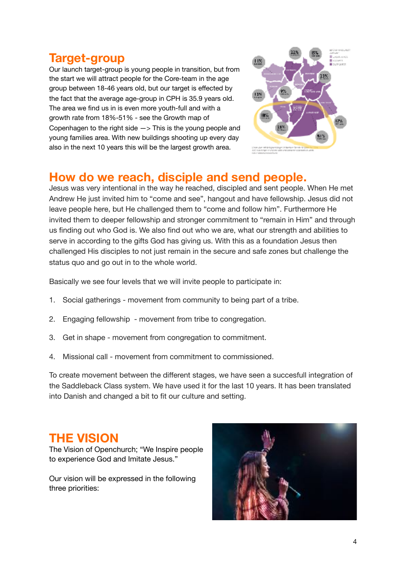# **Target-group**

Our launch target-group is young people in transition, but from the start we will attract people for the Core-team in the age group between 18-46 years old, but our target is effected by the fact that the average age-group in CPH is 35.9 years old. The area we find us in is even more youth-full and with a growth rate from 18%-51% - see the Growth map of Copenhagen to the right side  $\rightarrow$  This is the young people and young families area. With new buildings shooting up every day also in the next 10 years this will be the largest growth area.



# **How do we reach, disciple and send people.**

Jesus was very intentional in the way he reached, discipled and sent people. When He met Andrew He just invited him to "come and see", hangout and have fellowship. Jesus did not leave people here, but He challenged them to "come and follow him". Furthermore He invited them to deeper fellowship and stronger commitment to "remain in Him" and through us finding out who God is. We also find out who we are, what our strength and abilities to serve in according to the gifts God has giving us. With this as a foundation Jesus then challenged His disciples to not just remain in the secure and safe zones but challenge the status quo and go out in to the whole world.

Basically we see four levels that we will invite people to participate in:

- 1. Social gatherings movement from community to being part of a tribe.
- 2. Engaging fellowship movement from tribe to congregation.
- 3. Get in shape movement from congregation to commitment.
- 4. Missional call movement from commitment to commissioned.

To create movement between the different stages, we have seen a succesfull integration of the Saddleback Class system. We have used it for the last 10 years. It has been translated into Danish and changed a bit to fit our culture and setting.

# **THE VISION**

The Vision of Openchurch; "We Inspire people to experience God and Imitate Jesus."

Our vision will be expressed in the following three priorities:

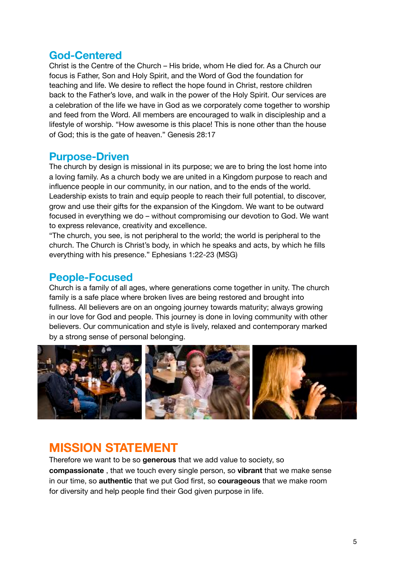### **God-Centered**

Christ is the Centre of the Church – His bride, whom He died for. As a Church our focus is Father, Son and Holy Spirit, and the Word of God the foundation for teaching and life. We desire to reflect the hope found in Christ, restore children back to the Father's love, and walk in the power of the Holy Spirit. Our services are a celebration of the life we have in God as we corporately come together to worship and feed from the Word. All members are encouraged to walk in discipleship and a lifestyle of worship. "How awesome is this place! This is none other than the house of God; this is the gate of heaven." Genesis 28:17

### **Purpose-Driven**

The church by design is missional in its purpose; we are to bring the lost home into a loving family. As a church body we are united in a Kingdom purpose to reach and influence people in our community, in our nation, and to the ends of the world. Leadership exists to train and equip people to reach their full potential, to discover, grow and use their gifts for the expansion of the Kingdom. We want to be outward focused in everything we do – without compromising our devotion to God. We want to express relevance, creativity and excellence.

"The church, you see, is not peripheral to the world; the world is peripheral to the church. The Church is Christ's body, in which he speaks and acts, by which he fills everything with his presence." Ephesians 1:22-23 (MSG)

### **People-Focused**

Church is a family of all ages, where generations come together in unity. The church family is a safe place where broken lives are being restored and brought into fullness. All believers are on an ongoing journey towards maturity; always growing in our love for God and people. This journey is done in loving community with other believers. Our communication and style is lively, relaxed and contemporary marked by a strong sense of personal belonging.



# **MISSION STATEMENT**

Therefore we want to be so **generous** that we add value to society, so **compassionate** , that we touch every single person, so **vibrant** that we make sense in our time, so **authentic** that we put God first, so **courageous** that we make room for diversity and help people find their God given purpose in life.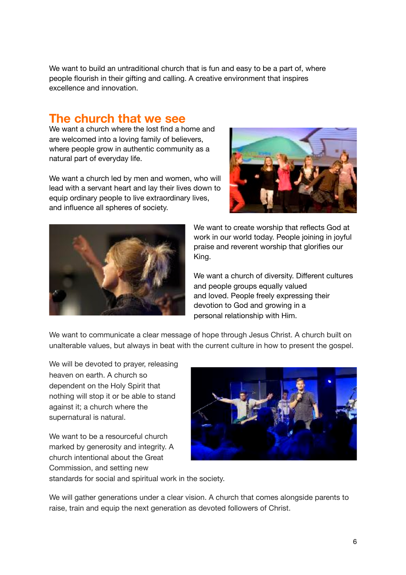We want to build an untraditional church that is fun and easy to be a part of, where people flourish in their gifting and calling. A creative environment that inspires excellence and innovation.

# **The church that we see**

We want a church where the lost find a home and are welcomed into a loving family of believers, where people grow in authentic community as a natural part of everyday life.

We want a church led by men and women, who will lead with a servant heart and lay their lives down to equip ordinary people to live extraordinary lives, and influence all spheres of society.





We want to create worship that reflects God at work in our world today. People joining in joyful praise and reverent worship that glorifies our King.

We want a church of diversity. Different cultures and people groups equally valued and loved. People freely expressing their devotion to God and growing in a personal relationship with Him.

We want to communicate a clear message of hope through Jesus Christ. A church built on unalterable values, but always in beat with the current culture in how to present the gospel.

We will be devoted to prayer, releasing heaven on earth. A church so dependent on the Holy Spirit that nothing will stop it or be able to stand against it; a church where the supernatural is natural.

We want to be a resourceful church marked by generosity and integrity. A church intentional about the Great Commission, and setting new



standards for social and spiritual work in the society.

We will gather generations under a clear vision. A church that comes alongside parents to raise, train and equip the next generation as devoted followers of Christ.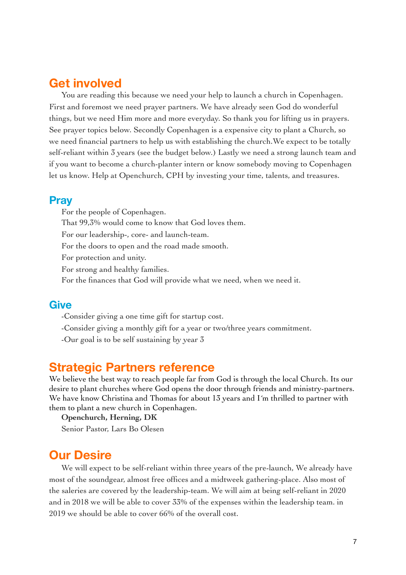# **Get involved**

You are reading this because we need your help to launch a church in Copenhagen. First and foremost we need prayer partners. We have already seen God do wonderful things, but we need Him more and more everyday. So thank you for lifting us in prayers. See prayer topics below. Secondly Copenhagen is a expensive city to plant a Church, so we need financial partners to help us with establishing the church.We expect to be totally self-reliant within 3 years (see the budget below.) Lastly we need a strong launch team and if you want to become a church-planter intern or know somebody moving to Copenhagen let us know. Help at Openchurch, CPH by investing your time, talents, and treasures.

#### **Pray**

For the people of Copenhagen. That 99,3% would come to know that God loves them. For our leadership-, core- and launch-team. For the doors to open and the road made smooth. For protection and unity. For strong and healthy families. For the finances that God will provide what we need, when we need it.

### **Give**

-Consider giving a one time gift for startup cost.

-Consider giving a monthly gift for a year or two/three years commitment.

-Our goal is to be self sustaining by year 3

# **Strategic Partners reference**

We believe the best way to reach people far from God is through the local Church. Its our desire to plant churches where God opens the door through friends and ministry-partners. We have know Christina and Thomas for about 13 years and I´m thrilled to partner with them to plant a new church in Copenhagen.

**Openchurch, Herning, DK**

Senior Pastor, Lars Bo Olesen

# **Our Desire**

We will expect to be self-reliant within three years of the pre-launch, We already have most of the soundgear, almost free offices and a midtweek gathering-place. Also most of the saleries are covered by the leadership-team. We will aim at being self-reliant in 2020 and in 2018 we will be able to cover 33% of the expenses within the leadership team. in 2019 we should be able to cover 66% of the overall cost.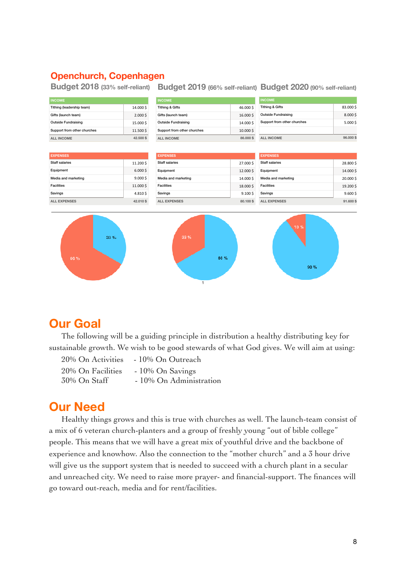#### **Openchurch, Copenhagen**

**Budget 2018 (33% self-reliant) Budget 2019 (66% self-reliant) Budget 2020 (90% self-reliant)** 

| <b>INCOME</b>                 |          | <b>INCOME</b>                |          | <b>INCOME</b>               |            |
|-------------------------------|----------|------------------------------|----------|-----------------------------|------------|
| Tithing (leadership team)     | 14.000\$ | <b>Tithing &amp; Gifts</b>   | 46.000\$ | <b>Tithing &amp; Gifts</b>  | 83.000\$   |
| Gifts (launch team)           | 2.0005   | Gifts (launch team)          | 16.000\$ | <b>Outside Fundraising</b>  | 8.000\$    |
| <b>Outside Fundraising</b>    | 15.000\$ | <b>Outside Fundraising</b>   | 14.000\$ | Support from other churches | 5.000\$    |
| Support from other churches   | 11.500\$ | Support from other churches  | 10.000\$ |                             |            |
| 42.500\$<br><b>ALL INCOME</b> |          | <b>ALL INCOME</b>            | 86.000\$ | ALL INCOME                  | 96,000\$   |
|                               |          |                              |          |                             |            |
| <b>EXPENSES</b>               |          | <b>EXPENSES</b>              |          | <b>EXPENSES</b>             |            |
| <b>Staff salaries</b>         | 11.200\$ | <b>Staff salaries</b>        | 27.000\$ | <b>Staff salaries</b>       | 28.800\$   |
| Equipment                     | 6.0005   | Equipment                    | 12.000\$ | Equipment                   | 14.000\$   |
| Media and marketing           | 9.0005   | Media and marketing          | 14.000\$ | Media and marketing         | 20.000\$   |
| <b>Facilities</b>             | 11.000\$ | <b>Facilities</b>            | 18.000\$ | <b>Facilities</b>           | 19.200\$   |
| Savings                       | 4.810\$  | Savings                      | 9.100S   | Savings                     | $9.600$ \$ |
| <b>ALL EXPENSES</b>           | 42.010\$ | <b>ALL EXPENSES</b>          | 80.100\$ | <b>ALL EXPENSES</b>         | 91.600\$   |
| 33%<br>66 %                   |          | 33 %<br>66 %<br>$\mathbf{1}$ |          | 10 %<br>90 %                |            |

# **Our Goal**

The following will be a guiding principle in distribution a healthy distributing key for sustainable growth. We wish to be good stewards of what God gives. We will aim at using:

| 20% On Activities | - 10% On Outreach       |
|-------------------|-------------------------|
| 20% On Facilities | $-10\%$ On Savings      |
| 30% On Staff      | - 10% On Administration |

# **Our Need**

Healthy things grows and this is true with churches as well. The launch-team consist of a mix of 6 veteran church-planters and a group of freshly young "out of bible college" people. This means that we will have a great mix of youthful drive and the backbone of experience and knowhow. Also the connection to the "mother church" and a 3 hour drive will give us the support system that is needed to succeed with a church plant in a secular and unreached city. We need to raise more prayer- and financial-support. The finances will go toward out-reach, media and for rent/facilities.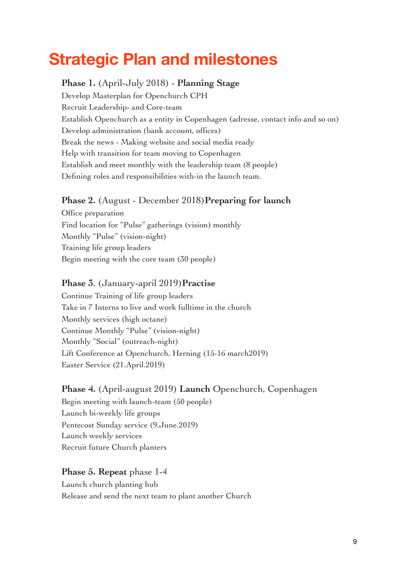# **Strategic Plan and milestones**

### **Phase 1.** (April-July 2018) - **Planning Stage**

Develop Masterplan for Openchurch CPH Recruit Leadership- and Core-team Establish Openchurch as a entity in Copenhagen (adresse, contact info and so on) Develop administration (bank account, offices) Break the news - Making website and social media ready Help with transition for team moving to Copenhagen Establish and meet monthly with the leadership team (8 people) Defining roles and responsibilities with-in the launch team.

### **Phase 2.** (August - December 2018)**Preparing for launch**

Office preparation Find location for "Pulse" gatherings (vision) monthly Monthly "Pulse" (vision-night) Training life group leaders Begin meeting with the core team (30 people)

### **Phase 3**. (January-april 2019)**Practise**

Continue Training of life group leaders Take in 7 Interns to live and work fulltime in the church Monthly services (high octane) Continue Monthly "Pulse" (vision-night) Monthly "Social" (outreach-night) Lift Conference at Openchurch, Herning (15-16 march2019) Easter Service (21.April.2019)

#### **Phase 4.** (April-august 2019) **Launch** Openchurch, Copenhagen

Begin meeting with launch-team (50 people) Launch bi-weekly life groups Pentecost Sunday service (9.June.2019) Launch weekly services Recruit future Church planters

### **Phase 5. Repeat** phase 1-4

Launch church planting hub Release and send the next team to plant another Church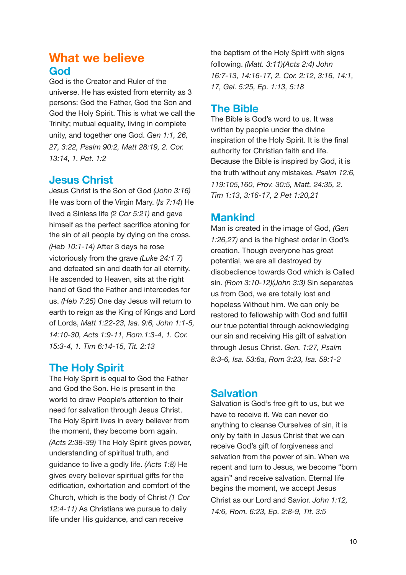# **What we believe God**

God is the Creator and Ruler of the universe. He has existed from eternity as 3 persons: God the Father, God the Son and God the Holy Spirit. This is what we call the Trinity; mutual equality, living in complete unity, and together one God. *Gen 1:1, 26, 27, 3:22, Psalm 90:2, Matt 28:19, 2. Cor. 13:14, 1. Pet. 1:2*

### **Jesus Christ**

Jesus Christ is the Son of God *(John 3:16)* He was born of the Virgin Mary. (*Is 7:14*) He lived a Sinless life *(2 Cor 5:21)* and gave himself as the perfect sacrifice atoning for the sin of all people by dying on the cross. *(Heb 10:1-14)* After 3 days he rose victoriously from the grave *(Luke 24:1 7)* and defeated sin and death for all eternity. He ascended to Heaven, sits at the right hand of God the Father and intercedes for us. *(Heb 7:25)* One day Jesus will return to earth to reign as the King of Kings and Lord of Lords, *Matt 1:22-23, Isa. 9:6, John 1:1-5, 14:10-30, Acts 1:9-11, Rom.1:3-4, 1. Cor. 15:3-4, 1. Tim 6:14-15, Tit. 2:13*

# **The Holy Spirit**

The Holy Spirit is equal to God the Father and God the Son. He is present in the world to draw People's attention to their need for salvation through Jesus Christ. The Holy Spirit lives in every believer from the moment, they become born again. *(Acts 2:38-39)* The Holy Spirit gives power, understanding of spiritual truth, and guidance to live a godly life. *(Acts 1:8)* He gives every believer spiritual gifts for the edification, exhortation and comfort of the Church, which is the body of Christ *(1 Cor 12:4-11)* As Christians we pursue to daily life under His guidance, and can receive

the baptism of the Holy Spirit with signs following. *(Matt. 3:11)(Acts 2:4) John 16:7-13, 14:16-17, 2. Cor. 2:12, 3:16, 14:1, 17, Gal. 5:25, Ep. 1:13, 5:18*

### **The Bible**

The Bible is God's word to us. It was written by people under the divine inspiration of the Holy Spirit. It is the final authority for Christian faith and life. Because the Bible is inspired by God, it is the truth without any mistakes. *Psalm 12:6, 119:105,160, Prov. 30:5, Matt. 24:35, 2. Tim 1:13, 3:16-17, 2 Pet 1:20,21*

### **Mankind**

Man is created in the image of God, *(Gen 1:26,27)* and is the highest order in God's creation. Though everyone has great potential, we are all destroyed by disobedience towards God which is Called sin. *(Rom 3:10-12)(John 3:3)* Sin separates us from God, we are totally lost and hopeless Without him. We can only be restored to fellowship with God and fulfill our true potential through acknowledging our sin and receiving His gift of salvation through Jesus Christ. *Gen. 1:27, Psalm 8:3-6, Isa. 53:6a, Rom 3:23, Isa. 59:1-2*

### **Salvation**

Salvation is God's free gift to us, but we have to receive it. We can never do anything to cleanse Ourselves of sin, it is only by faith in Jesus Christ that we can receive God's gift of forgiveness and salvation from the power of sin. When we repent and turn to Jesus, we become "born again" and receive salvation. Eternal life begins the moment, we accept Jesus Christ as our Lord and Savior. *John 1:12, 14:6, Rom. 6:23, Ep. 2:8-9, Tit. 3:5*